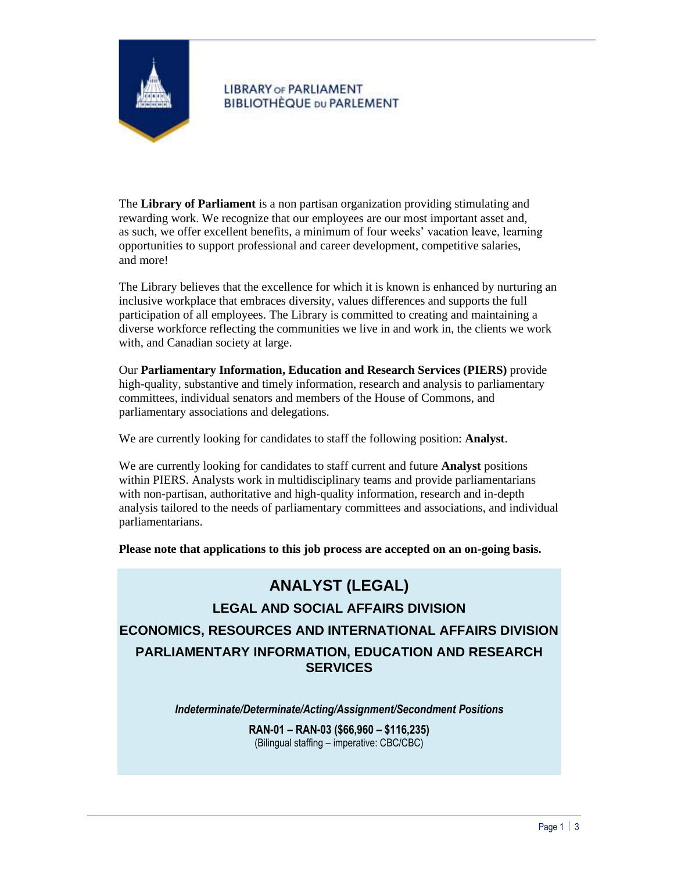

# **LIBRARY OF PARLIAMENT BIBLIOTHÈQUE DU PARLEMENT**

The **Library of Parliament** is a non partisan organization providing stimulating and rewarding work. We recognize that our employees are our most important asset and, as such, we offer excellent benefits, a minimum of four weeks' vacation leave, learning opportunities to support professional and career development, competitive salaries, and more!

The Library believes that the excellence for which it is known is enhanced by nurturing an inclusive workplace that embraces diversity, values differences and supports the full participation of all employees. The Library is committed to creating and maintaining a diverse workforce reflecting the communities we live in and work in, the clients we work with, and Canadian society at large.

Our **Parliamentary Information, Education and Research Services (PIERS)** provide high-quality, substantive and timely information, research and analysis to parliamentary committees, individual senators and members of the House of Commons, and parliamentary associations and delegations.

We are currently looking for candidates to staff the following position: **Analyst**.

We are currently looking for candidates to staff current and future **Analyst** positions within PIERS. Analysts work in multidisciplinary teams and provide parliamentarians with non-partisan, authoritative and high-quality information, research and in-depth analysis tailored to the needs of parliamentary committees and associations, and individual parliamentarians.

**Please note that applications to this job process are accepted on an on-going basis.**

# **ANALYST (LEGAL)**

**LEGAL AND SOCIAL AFFAIRS DIVISION ECONOMICS, RESOURCES AND INTERNATIONAL AFFAIRS DIVISION PARLIAMENTARY INFORMATION, EDUCATION AND RESEARCH SERVICES**

*Indeterminate/Determinate/Acting/Assignment/Secondment Positions*

**RAN-01 – RAN-03 (\$66,960 – \$116,235)** (Bilingual staffing – imperative: CBC/CBC)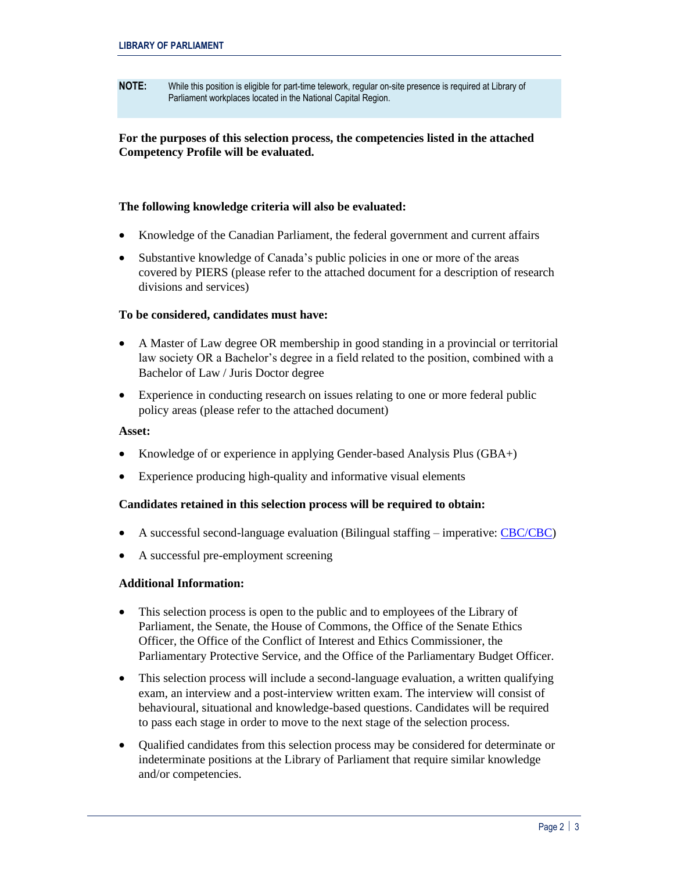**NOTE:** While this position is eligible for part-time telework, regular on-site presence is required at Library of Parliament workplaces located in the National Capital Region.

## **For the purposes of this selection process, the competencies listed in the attached Competency Profile will be evaluated.**

## **The following knowledge criteria will also be evaluated:**

- Knowledge of the Canadian Parliament, the federal government and current affairs
- Substantive knowledge of Canada's public policies in one or more of the areas covered by PIERS (please refer to the attached document for a description of research divisions and services)

#### **To be considered, candidates must have:**

- A Master of Law degree OR membership in good standing in a provincial or territorial law society OR a Bachelor's degree in a field related to the position, combined with a Bachelor of Law / Juris Doctor degree
- Experience in conducting research on issues relating to one or more federal public policy areas (please refer to the attached document)

#### **Asset:**

- Knowledge of or experience in applying Gender-based Analysis Plus (GBA+)
- Experience producing high-quality and informative visual elements

#### **Candidates retained in this selection process will be required to obtain:**

- A successful second-language evaluation (Bilingual staffing imperative[: CBC/CBC\)](https://www.canada.ca/en/treasury-board-secretariat/services/staffing/qualification-standards/relation-official-languages.html)
- A successful pre-employment screening

#### **Additional Information:**

- This selection process is open to the public and to employees of the Library of Parliament, the Senate, the House of Commons, the Office of the Senate Ethics Officer, the Office of the Conflict of Interest and Ethics Commissioner, the Parliamentary Protective Service, and the Office of the Parliamentary Budget Officer.
- This selection process will include a second-language evaluation, a written qualifying exam, an interview and a post-interview written exam. The interview will consist of behavioural, situational and knowledge-based questions. Candidates will be required to pass each stage in order to move to the next stage of the selection process.
- Qualified candidates from this selection process may be considered for determinate or indeterminate positions at the Library of Parliament that require similar knowledge and/or competencies.